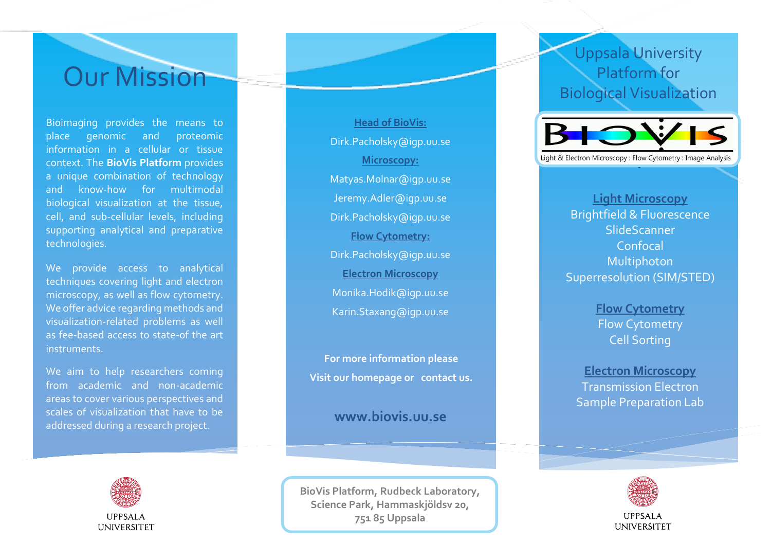# Our Mission

Bioimaging provides the means to place genomic and proteomic information in a cellular or tissue context. The **BioVis Platform** provides a unique combination of technology and know -how for multimodal biological visualization at the tissue, cell, and sub -cellular levels, including supporting analytical and preparative technologies.

We provide access to analytical techniques covering light and electron microscopy, as well as flow cytometry. We offer advice regarding methods and visualization -related problems as well as fee -based access to state -of the art instruments.

We aim to help researchers coming from academic and non -academic areas to cover various perspectives and scales of visualization that have to be addressed during a research project.



**Head of BioVis:**  Dirk.Pacholsky@igp.uu.se **Microscopy:**  [Matyas.Molnar@igp.uu.se](mailto:Matyas.Molnar@igp.uu.se) Jeremy.Adler@igp.uu.se Dirk.Pacholsky@igp.uu.se **Flow Cytometry:**  Dirk.Pacholsky@igp.uu.se **Electron Microscopy** [Monika.Hodik@igp.uu.s](mailto:Monika.Hodik@igp.uu.se) e Karin.Staxang @igp.uu.se

**For more information please Visit our homepage or contact us.**

### **www.biovis.uu.se**

**BioVis Platform, Rudbeck Laboratory , Science Park, Hammaskjöldsv 20, 751 85 Uppsala**

### Uppsala University Platform for Biological Visualization



**Light Microscopy** Brightfield & Fluorescence SlideScanner Confocal Multiphoton Superresolution (SIM/STED )

> **Flow Cytometry** Flow Cytometry Cell Sorting

**Electron Microscopy** Transmission Electron Sample Preparation Lab



#### **IIPPSALA UNIVERSITET**